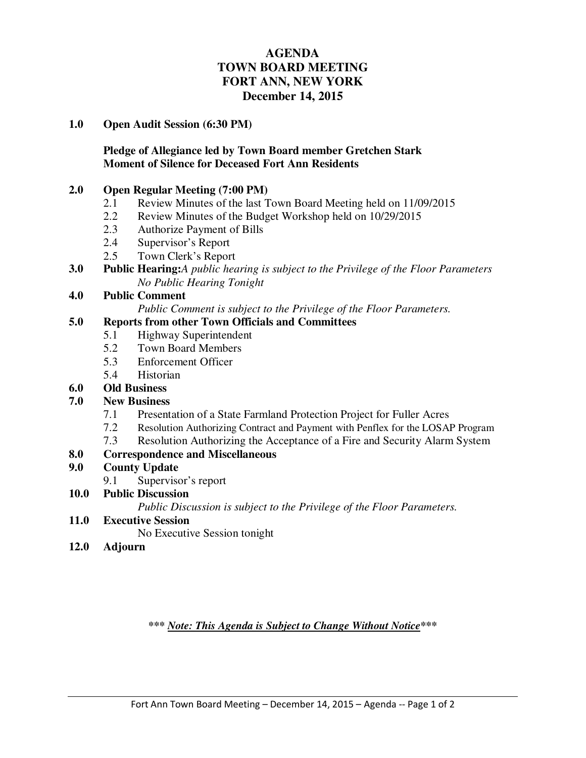# **AGENDA TOWN BOARD MEETING FORT ANN, NEW YORK December 14, 2015**

#### **1.0 Open Audit Session (6:30 PM)**

## **Pledge of Allegiance led by Town Board member Gretchen Stark Moment of Silence for Deceased Fort Ann Residents**

## **2.0 Open Regular Meeting (7:00 PM)**

- 2.1 Review Minutes of the last Town Board Meeting held on 11/09/2015
- 2.2 Review Minutes of the Budget Workshop held on 10/29/2015
- 2.3 Authorize Payment of Bills
- 2.4 Supervisor's Report
- 2.5 Town Clerk's Report
- **3.0 Public Hearing:***A public hearing is subject to the Privilege of the Floor Parameters No Public Hearing Tonight*

## **4.0 Public Comment**

*Public Comment is subject to the Privilege of the Floor Parameters.*

#### **5.0 Reports from other Town Officials and Committees**

- 5.1 Highway Superintendent<br>5.2 Town Board Members
- 5.2 Town Board Members
- 5.3 Enforcement Officer
- 5.4 Historian
- **6.0 Old Business**

### **7.0 New Business**

- 7.1 Presentation of a State Farmland Protection Project for Fuller Acres
- 7.2 Resolution Authorizing Contract and Payment with Penflex for the LOSAP Program
- 7.3 Resolution Authorizing the Acceptance of a Fire and Security Alarm System

## **8.0 Correspondence and Miscellaneous**

### **9.0 County Update**

- 9.1 Supervisor's report
- **10.0 Public Discussion**

 *Public Discussion is subject to the Privilege of the Floor Parameters.*

- **11.0 Executive Session**
	- No Executive Session tonight
- **12.0 Adjourn**

*\*\*\* Note: This Agenda is Subject to Change Without Notice\*\*\**